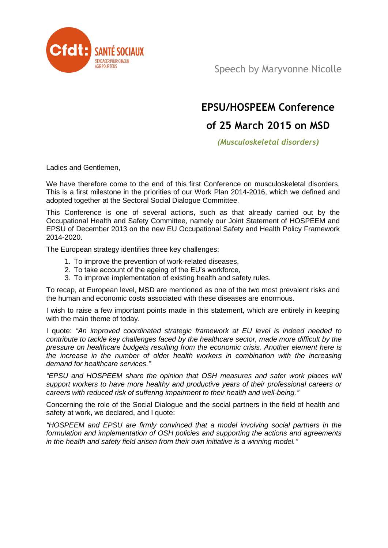

Speech by Maryvonne Nicolle

## **EPSU/HOSPEEM Conference**

## **of 25 March 2015 on MSD**

*(Musculoskeletal disorders)* 

Ladies and Gentlemen,

We have therefore come to the end of this first Conference on musculoskeletal disorders. This is a first milestone in the priorities of our Work Plan 2014-2016, which we defined and adopted together at the Sectoral Social Dialogue Committee.

This Conference is one of several actions, such as that already carried out by the Occupational Health and Safety Committee, namely our Joint Statement of HOSPEEM and EPSU of December 2013 on the new EU Occupational Safety and Health Policy Framework 2014-2020.

The European strategy identifies three key challenges:

- 1. To improve the prevention of work-related diseases,
- 2. To take account of the ageing of the EU's workforce,
- 3. To improve implementation of existing health and safety rules.

To recap, at European level, MSD are mentioned as one of the two most prevalent risks and the human and economic costs associated with these diseases are enormous.

I wish to raise a few important points made in this statement, which are entirely in keeping with the main theme of today.

I quote: *"An improved coordinated strategic framework at EU level is indeed needed to contribute to tackle key challenges faced by the healthcare sector, made more difficult by the pressure on healthcare budgets resulting from the economic crisis. Another element here is the increase in the number of older health workers in combination with the increasing demand for healthcare services."*

*"EPSU and HOSPEEM share the opinion that OSH measures and safer work places will support workers to have more healthy and productive years of their professional careers or careers with reduced risk of suffering impairment to their health and well-being."*

Concerning the role of the Social Dialogue and the social partners in the field of health and safety at work, we declared, and I quote:

*"HOSPEEM and EPSU are firmly convinced that a model involving social partners in the formulation and implementation of OSH policies and supporting the actions and agreements in the health and safety field arisen from their own initiative is a winning model."*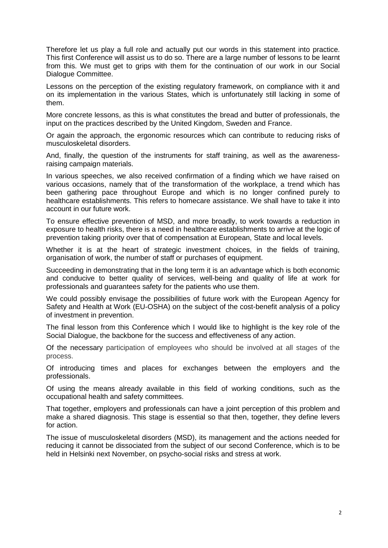Therefore let us play a full role and actually put our words in this statement into practice. This first Conference will assist us to do so. There are a large number of lessons to be learnt from this. We must get to grips with them for the continuation of our work in our Social Dialogue Committee.

Lessons on the perception of the existing regulatory framework, on compliance with it and on its implementation in the various States, which is unfortunately still lacking in some of them.

More concrete lessons, as this is what constitutes the bread and butter of professionals, the input on the practices described by the United Kingdom, Sweden and France.

Or again the approach, the ergonomic resources which can contribute to reducing risks of musculoskeletal disorders.

And, finally, the question of the instruments for staff training, as well as the awarenessraising campaign materials.

In various speeches, we also received confirmation of a finding which we have raised on various occasions, namely that of the transformation of the workplace, a trend which has been gathering pace throughout Europe and which is no longer confined purely to healthcare establishments. This refers to homecare assistance. We shall have to take it into account in our future work.

To ensure effective prevention of MSD, and more broadly, to work towards a reduction in exposure to health risks, there is a need in healthcare establishments to arrive at the logic of prevention taking priority over that of compensation at European, State and local levels.

Whether it is at the heart of strategic investment choices, in the fields of training, organisation of work, the number of staff or purchases of equipment.

Succeeding in demonstrating that in the long term it is an advantage which is both economic and conducive to better quality of services, well-being and quality of life at work for professionals and guarantees safety for the patients who use them.

We could possibly envisage the possibilities of future work with the European Agency for Safety and Health at Work (EU-OSHA) on the subject of the cost-benefit analysis of a policy of investment in prevention.

The final lesson from this Conference which I would like to highlight is the key role of the Social Dialogue, the backbone for the success and effectiveness of any action.

Of the necessary participation of employees who should be involved at all stages of the process.

Of introducing times and places for exchanges between the employers and the professionals.

Of using the means already available in this field of working conditions, such as the occupational health and safety committees.

That together, employers and professionals can have a joint perception of this problem and make a shared diagnosis. This stage is essential so that then, together, they define levers for action.

The issue of musculoskeletal disorders (MSD), its management and the actions needed for reducing it cannot be dissociated from the subject of our second Conference, which is to be held in Helsinki next November, on psycho-social risks and stress at work.